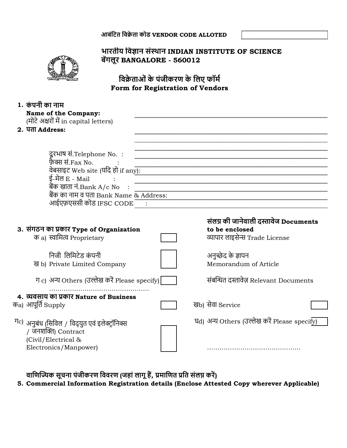**आबंवित विक्रेता कोड VENDOR CODE ALLOTED**



## **भारतीय विज्ञान संस्थान INDIAN INSTITUTE OF SCIENCE बेंगलूर BANGALORE - 560012**

**विक्रेताओंके पंजीकरण के वलए फॉर्म Form for Registration of Vendors**

| 1. कंपनी का नाम                                            |                                                                  |  |
|------------------------------------------------------------|------------------------------------------------------------------|--|
| <b>Name of the Company:</b>                                |                                                                  |  |
| (मोटे अक्षरों में in capital letters)                      |                                                                  |  |
| 2. पता Address:                                            |                                                                  |  |
|                                                            |                                                                  |  |
|                                                            |                                                                  |  |
| दूरभाष सं.Telephone No.:                                   |                                                                  |  |
| फ़ैक्स सं.Fax No.                                          |                                                                  |  |
| वेबसाइट Web site (यदि हो if any):                          |                                                                  |  |
| ई-मेल E - Mail                                             |                                                                  |  |
| बैंक खाता नं.Bank $A/c$ No $\;$ :                          |                                                                  |  |
|                                                            | षपर साता ग.Bank A/C NO<br>बैंक का नाम व पता Bank Name & Address: |  |
| आईएफ़एससी कोड IFSC CODE ""                                 |                                                                  |  |
|                                                            |                                                                  |  |
|                                                            | संलग्न की जानेवाली दस्तावेज Documents                            |  |
| 3. संगठन का प्रकार Type of Organization                    | to be enclosed                                                   |  |
| क a) स्वामित्व Proprietary                                 | व्यापार लाइसेन्स Trade License                                   |  |
|                                                            |                                                                  |  |
| निजी लिमिटेड कंपनी                                         |                                                                  |  |
|                                                            | अनुच्छेद के ज्ञापन                                               |  |
| ख b) Private Limited Company                               | Memorandum of Article                                            |  |
|                                                            |                                                                  |  |
| ग c) अन्य Others (उल्लेख करें Please specify)              | संबन्धित दस्तावेज़ Relevant Documents                            |  |
|                                                            |                                                                  |  |
| 4. व्यवसाय का प्रकार Nature of Business                    |                                                                  |  |
| क <sub>a)</sub> आपूर्ति Supply                             | खb) सेवा Service                                                 |  |
|                                                            |                                                                  |  |
| <sup>ग</sup> ़) अनुबंध (सिविल / विद्युत एवं इलेक्ट्रॉनिक्स | घd) अन्य Others (उल्लेख करें Please specify)                     |  |
| / जनशक्ति) Contract                                        |                                                                  |  |
| (Civil/Electrical &                                        |                                                                  |  |
| Electronics/Manpower)                                      |                                                                  |  |

**िावणज्यिक सूचना पंजीकरण वििरण (जहांलागूहैं, प्रर्ावणत प्रवत संलग्न करें)**

**5. Commercial Information Registration details (Enclose Attested Copy wherever Applicable)**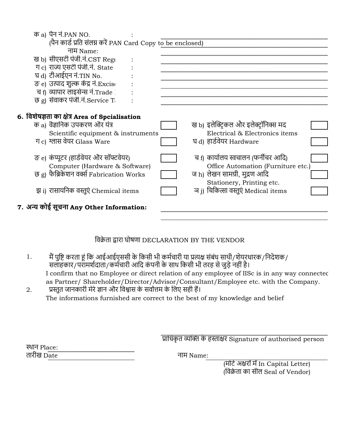|  | क a) पैन नं.PAN NO.                                        |                                       |  |
|--|------------------------------------------------------------|---------------------------------------|--|
|  | (पैन कार्ड प्रति संलग्न करें PAN Card Copy to be enclosed) |                                       |  |
|  | नाम Name:                                                  |                                       |  |
|  | ख b) सीएसटी पंजी.नं.CST Regi                               |                                       |  |
|  | ग c) राज्य एसटी पंजी.नं. State                             |                                       |  |
|  | घ d) टीआईएन नं.TIN No.                                     |                                       |  |
|  | ङ e) उत्पाद शुल्क केंद्र नं.Excise                         |                                       |  |
|  | च f) व्यापार लाइसेन्स नं.Trade !                           |                                       |  |
|  | छ g) सेवाकर पंजी.नं.Service Ti                             |                                       |  |
|  |                                                            |                                       |  |
|  | 6. विशेषज्ञता का क्षेत्र Area of Spcialisation             |                                       |  |
|  | क a) वैज्ञानिक उपकरण और यंत्र                              | ख b) इलेक्ट्रिकल और इलेक्ट्रॉनिक्स मद |  |
|  | Scientific equipment & instruments                         | Electrical & Electronics items        |  |
|  | ग c) ग्लास वेयर Glass Ware                                 | घ d) हार्डवेयर Hardware               |  |
|  |                                                            |                                       |  |
|  | ङ e) कंप्यूटर (हार्डवेयर और सॉफ्टवेयर)                     | च f) कार्यालय स्वचालन (फर्नीचर आदि)   |  |
|  | Computer (Hardware & Software)                             | Office Automation (Furniture etc.)    |  |
|  | छ g) फैब्रिकेशन वर्क्स Fabrication Works                   | ज h) लेखन सामग्री, मुद्रण आदि         |  |
|  |                                                            | Stationery, Printing etc.             |  |
|  | झ i) रासायनिक वस्तुएं Chemical items                       | ञ j) चिकित्सा वस्तुएं Medical items   |  |
|  |                                                            |                                       |  |
|  | 7. अन्य कोई सूचना Any Other Information:                   |                                       |  |
|  |                                                            |                                       |  |

## दवक्रेता द्वारा घोषणा DECLARATION BY THE VENDOR

- 1. I confirm that no Employee or direct relation of any employee of IISc is in any way connected as Partner/ Shareholder/Director/Advisor/Consultant/Employee etc. with the Company. मैं पुष्टि करता हूं कि आईआईएससी के किसी भी कर्मचारी या प्रत्यक्ष संबंध साथी/शेयरधारक/निर्देशक/ सलाहकार/परामर्शदाता/कर्मचारी आदि कंपनी के साथ किसी भी तरह से जुड़े नहीं है।
- 2. The informations furnished are correct to the best of my knowledge and belief प्रस्तुत जानकारी मेरेज्ञान और दवश्वास के सवोत्तम के दलए सही हैं।

प्रादधकृत व्यन्धि के हस्ताक्षर Signature of authorised person

स्थान Place: . . .<br>तारीख D<u>ate</u>

(दवक्रेता का सील Seal of Vendor) (मोर्टे अक्षरों में In Capital Letter)